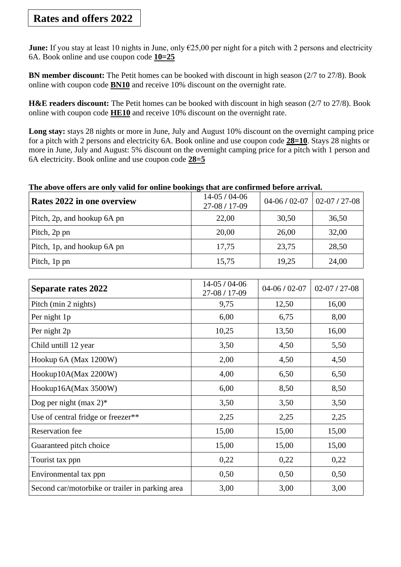## **Rates and offers 2022**

**June:** If you stay at least 10 nights in June, only €25,00 per night for a pitch with 2 persons and electricity 6A. Book online and use coupon code **10=25**

**BN member discount:** The Petit homes can be booked with discount in high season (2/7 to 27/8). Book online with coupon code **BN10** and receive 10% discount on the overnight rate.

**H&E readers discount:** The Petit homes can be booked with discount in high season (2/7 to 27/8). Book online with coupon code **HE10** and receive 10% discount on the overnight rate.

**Long stay:** stays 28 nights or more in June, July and August 10% discount on the overnight camping price for a pitch with 2 persons and electricity 6A. Book online and use coupon code **28=10**. Stays 28 nights or more in June, July and August: 5% discount on the overnight camping price for a pitch with 1 person and 6A electricity. Book online and use coupon code **28=5**

## **The above offers are only valid for online bookings that are confirmed before arrival.**

| Rates 2022 in one overview  | 14-05 / 04-06<br>27-08 / 17-09 | $04 - 06 / 02 - 07$ | $02-07/27-08$ |
|-----------------------------|--------------------------------|---------------------|---------------|
| Pitch, 2p, and hookup 6A pn | 22,00                          | 30,50               | 36,50         |
| Pitch, 2p pn                | 20,00                          | 26,00               | 32,00         |
| Pitch, 1p, and hookup 6A pn | 17,75                          | 23,75               | 28,50         |
| Pitch, 1p pn                | 15,75                          | 19,25               | 24,00         |

| <b>Separate rates 2022</b>                      | $14-05/04-06$<br>27-08 / 17-09 | $04-06/02-07$ | $02-07/27-08$ |
|-------------------------------------------------|--------------------------------|---------------|---------------|
| Pitch (min 2 nights)                            | 9,75                           | 12,50         | 16,00         |
| Per night 1p                                    | 6,00                           | 6,75          | 8,00          |
| Per night 2p                                    | 10,25                          | 13,50         | 16,00         |
| Child untill 12 year                            | 3,50                           | 4,50          | 5,50          |
| Hookup 6A (Max 1200W)                           | 2,00                           | 4,50          | 4,50          |
| Hookup10A(Max 2200W)                            | 4,00                           | 6,50          | 6,50          |
| Hookup16A(Max 3500W)                            | 6,00                           | 8,50          | 8,50          |
| Dog per night (max $2$ )*                       | 3,50                           | 3,50          | 3,50          |
| Use of central fridge or freezer**              | 2,25                           | 2,25          | 2,25          |
| <b>Reservation</b> fee                          | 15,00                          | 15,00         | 15,00         |
| Guaranteed pitch choice                         | 15,00                          | 15,00         | 15,00         |
| Tourist tax ppn                                 | 0,22                           | 0,22          | 0,22          |
| Environmental tax ppn                           | 0,50                           | 0,50          | 0,50          |
| Second car/motorbike or trailer in parking area | 3,00                           | 3,00          | 3,00          |